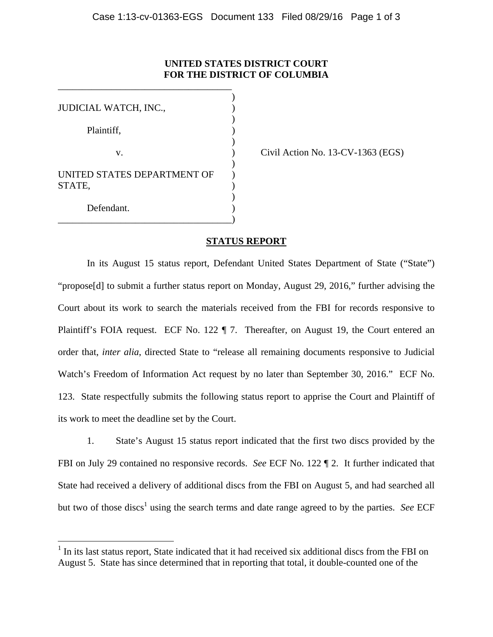## **UNITED STATES DISTRICT COURT FOR THE DISTRICT OF COLUMBIA**

| JUDICIAL WATCH, INC.,       |  |
|-----------------------------|--|
|                             |  |
| Plaintiff,                  |  |
|                             |  |
| v.                          |  |
| UNITED STATES DEPARTMENT OF |  |
| STATE,                      |  |
|                             |  |
| Defendant.                  |  |
|                             |  |

 $\overline{a}$ 

\_\_\_\_\_\_\_\_\_\_\_\_\_\_\_\_\_\_\_\_\_\_\_\_\_\_\_\_\_\_\_\_\_\_\_\_

Civil Action No.  $13$ -CV-1363 (EGS)

## **STATUS REPORT**

In its August 15 status report, Defendant United States Department of State ("State") "propose[d] to submit a further status report on Monday, August 29, 2016," further advising the Court about its work to search the materials received from the FBI for records responsive to Plaintiff's FOIA request. ECF No. 122 ¶ 7. Thereafter, on August 19, the Court entered an order that, *inter alia*, directed State to "release all remaining documents responsive to Judicial Watch's Freedom of Information Act request by no later than September 30, 2016." ECF No. 123. State respectfully submits the following status report to apprise the Court and Plaintiff of its work to meet the deadline set by the Court.

1. State's August 15 status report indicated that the first two discs provided by the FBI on July 29 contained no responsive records. *See* ECF No. 122 ¶ 2. It further indicated that State had received a delivery of additional discs from the FBI on August 5, and had searched all but two of those discs<sup>1</sup> using the search terms and date range agreed to by the parties. *See* ECF

<sup>&</sup>lt;sup>1</sup> In its last status report, State indicated that it had received six additional discs from the FBI on August 5. State has since determined that in reporting that total, it double-counted one of the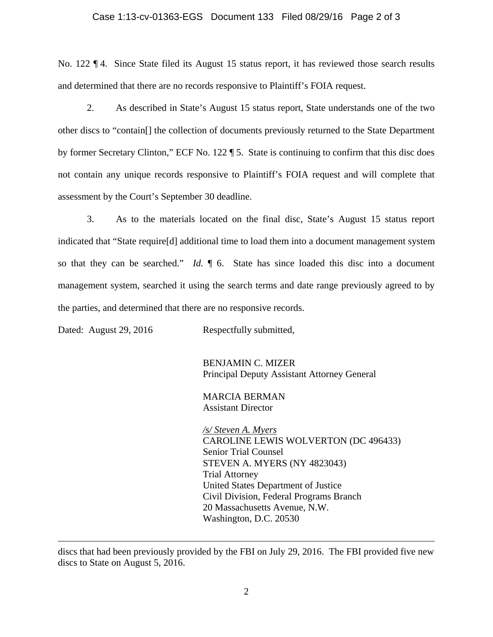## Case 1:13-cv-01363-EGS Document 133 Filed 08/29/16 Page 2 of 3

No. 122 ¶ 4. Since State filed its August 15 status report, it has reviewed those search results and determined that there are no records responsive to Plaintiff's FOIA request.

 2. As described in State's August 15 status report, State understands one of the two other discs to "contain[] the collection of documents previously returned to the State Department by former Secretary Clinton," ECF No. 122 ¶ 5. State is continuing to confirm that this disc does not contain any unique records responsive to Plaintiff's FOIA request and will complete that assessment by the Court's September 30 deadline.

 3. As to the materials located on the final disc, State's August 15 status report indicated that "State require[d] additional time to load them into a document management system so that they can be searched." *Id.* ¶ 6. State has since loaded this disc into a document management system, searched it using the search terms and date range previously agreed to by the parties, and determined that there are no responsive records.

Dated: August 29, 2016 Respectfully submitted,

 $\overline{a}$ 

BENJAMIN C. MIZER Principal Deputy Assistant Attorney General

MARCIA BERMAN Assistant Director

*/s/ Steven A. Myers*  CAROLINE LEWIS WOLVERTON (DC 496433) Senior Trial Counsel STEVEN A. MYERS (NY 4823043) Trial Attorney United States Department of Justice Civil Division, Federal Programs Branch 20 Massachusetts Avenue, N.W. Washington, D.C. 20530

discs that had been previously provided by the FBI on July 29, 2016. The FBI provided five new discs to State on August 5, 2016.